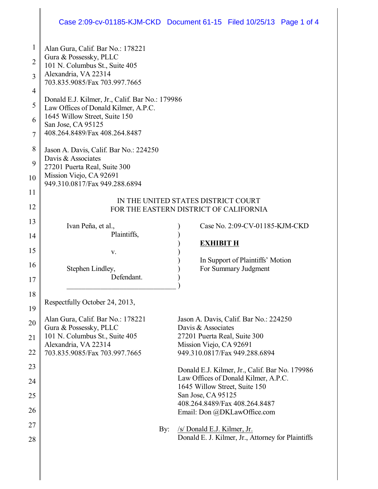### Case 2:09-cv-01185-KJM-CKD Document 61-15 Filed 10/25/13 Page 1 of 4

| 1              | Alan Gura, Calif. Bar No.: 178221                                             |                                                     |  |  |  |  |  |
|----------------|-------------------------------------------------------------------------------|-----------------------------------------------------|--|--|--|--|--|
| 2              | Gura & Possessky, PLLC                                                        |                                                     |  |  |  |  |  |
|                | 101 N. Columbus St., Suite 405<br>Alexandria, VA 22314                        |                                                     |  |  |  |  |  |
| 3              | 703.835.9085/Fax 703.997.7665                                                 |                                                     |  |  |  |  |  |
| $\overline{4}$ | Donald E.J. Kilmer, Jr., Calif. Bar No.: 179986                               |                                                     |  |  |  |  |  |
| 5              | Law Offices of Donald Kilmer, A.P.C.                                          |                                                     |  |  |  |  |  |
| 6              | 1645 Willow Street, Suite 150<br>San Jose, CA 95125                           |                                                     |  |  |  |  |  |
| 7              | 408.264.8489/Fax 408.264.8487                                                 |                                                     |  |  |  |  |  |
| 8              |                                                                               |                                                     |  |  |  |  |  |
|                | Jason A. Davis, Calif. Bar No.: 224250<br>Davis & Associates                  |                                                     |  |  |  |  |  |
| 9              | 27201 Puerta Real, Suite 300                                                  |                                                     |  |  |  |  |  |
| 10             | Mission Viejo, CA 92691<br>949.310.0817/Fax 949.288.6894                      |                                                     |  |  |  |  |  |
| 11             |                                                                               |                                                     |  |  |  |  |  |
| 12             | IN THE UNITED STATES DISTRICT COURT<br>FOR THE EASTERN DISTRICT OF CALIFORNIA |                                                     |  |  |  |  |  |
| 13             |                                                                               |                                                     |  |  |  |  |  |
| 14             | Ivan Peña, et al.,<br>Plaintiffs,                                             | Case No. 2:09-CV-01185-KJM-CKD                      |  |  |  |  |  |
|                |                                                                               | <b>EXHIBIT H</b>                                    |  |  |  |  |  |
| 15             | V.                                                                            | In Support of Plaintiffs' Motion                    |  |  |  |  |  |
| 16             | Stephen Lindley,                                                              | For Summary Judgment                                |  |  |  |  |  |
| 17             | Defendant.                                                                    |                                                     |  |  |  |  |  |
| 18             |                                                                               |                                                     |  |  |  |  |  |
| 19             | Respectfully October 24, 2013,                                                |                                                     |  |  |  |  |  |
| 20             | Alan Gura, Calif. Bar No.: 178221                                             | Jason A. Davis, Calif. Bar No.: 224250              |  |  |  |  |  |
|                | Gura & Possessky, PLLC<br>101 N. Columbus St., Suite 405                      | Davis & Associates<br>27201 Puerta Real, Suite 300  |  |  |  |  |  |
| 21             | Alexandria, VA 22314                                                          | Mission Viejo, CA 92691                             |  |  |  |  |  |
| 22             | 703.835.9085/Fax 703.997.7665                                                 | 949.310.0817/Fax 949.288.6894                       |  |  |  |  |  |
| 23             |                                                                               | Donald E.J. Kilmer, Jr., Calif. Bar No. 179986      |  |  |  |  |  |
| 24             |                                                                               | Law Offices of Donald Kilmer, A.P.C.                |  |  |  |  |  |
| 25             |                                                                               | 1645 Willow Street, Suite 150<br>San Jose, CA 95125 |  |  |  |  |  |
| 26             |                                                                               | 408.264.8489/Fax 408.264.8487                       |  |  |  |  |  |
|                |                                                                               | Email: Don @DKLawOffice.com                         |  |  |  |  |  |
| 27             | By:                                                                           | /s/ Donald E.J. Kilmer, Jr.                         |  |  |  |  |  |
| 28             |                                                                               | Donald E. J. Kilmer, Jr., Attorney for Plaintiffs   |  |  |  |  |  |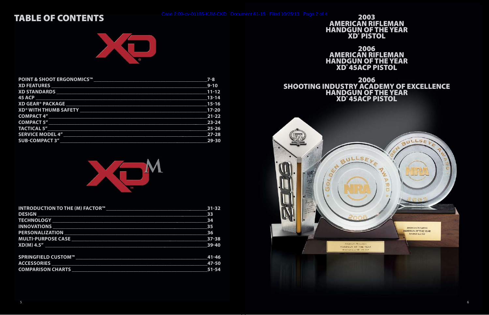### TABLE OF CONTENTS



| <b>POINT &amp; SHOOT ERGONOMICS™</b>                                                                          | $7 - 8$                   |
|---------------------------------------------------------------------------------------------------------------|---------------------------|
| <b>XD FEATURES WELL ARE AN ALL PROPERTY AND FEATURES</b>                                                      | $9 - 10$                  |
|                                                                                                               | $11 - 12$                 |
| 45 ACP <b>Example 20</b> ACC <b>RESIDENT</b>                                                                  | $13 - 14$                 |
| XD GEAR® PACKAGE NAME AND RESERVE TO A SERIES AND THE RESERVE TO A SERIES AND RESERVE TO A SERIES AND RESERVE | $\frac{1}{15-16}$         |
| <b>XD<sup>®</sup> WITH THUMB SAFETY</b>                                                                       | $17-20$                   |
|                                                                                                               | $\overline{\text{21-22}}$ |
| COMPACT 5"                                                                                                    | 23-24                     |
| <b>TACTICAL 5"</b>                                                                                            | 25-26                     |
| <b>SERVICE MODEL 4"</b>                                                                                       | $27 - 28$                 |
| <b>SUB-COMPACT 3"</b>                                                                                         | 29-30                     |



2003<br>AMERICAN RIFLEMAN HANDGUN OF THE YEAR XD® PISTOL

| <b>INTRODUCTION TO THE (M) FACTOR™</b>                                               | $31 - 32$ |
|--------------------------------------------------------------------------------------|-----------|
| <b>DESIGN AND RESIGN AND RESIGN AND RESIGN AND RESIGN AND RESIGN AND RESIGNATION</b> | 33        |
|                                                                                      | 34        |
| <b>INNOVATIONS</b>                                                                   | 35        |
| <b>PERSONALIZATION</b>                                                               | 36        |
| <b>MULTI-PURPOSE CASE</b>                                                            | $37 - 38$ |
| $XD(M)$ 4.5"                                                                         | 39-40     |
| SPRINGFIELD CUSTOM™                                                                  | $41 - 46$ |
| <b>ACCESSORIES</b>                                                                   | 47-50     |
| <b>COMPARISON CHARTS</b>                                                             | 51-54     |

2006 AMERICAN RIFLEMAN HANDGUN OF THE YEAR XD® 45ACP PISTOL

2006 SHOOTING INDUSTRY ACADEMY OF EXCELLENCE HANDGUN OF THE YEAR XD® 45ACP PISTOL

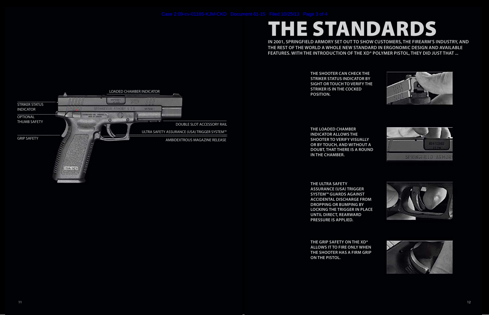**the shooter can check the striker status indicator by sight or touch to verify the striker is in the cocked position.**

**the loaded chamber indicator allows the shooter to verify visually or by touch, and without a doubt, that there is a round in the chamber.**

**the ultra safety assurance (usa) trigger system™ guards against accidental discharge from dropping or bumping by locking the trigger in place until direct, rearward pressure is applied.** 

**The grip safety on the XD® allows it to fire only when the shooter has a firm grip on the pistol.**











**In 2001, Springfield Armory set out to show customers, the firearm's industry, and the rest of the world a whole new standard in ergonomic design and available features. With the introduction of the XD® polymer pistol, they did just that ...**

# THE standards